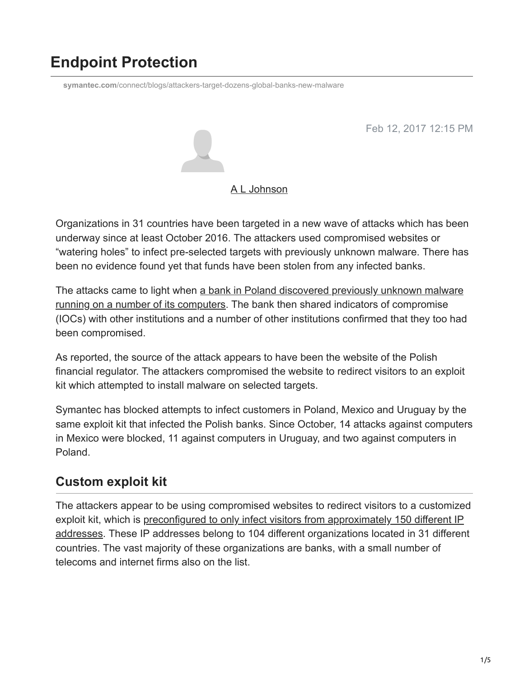# **Endpoint Protection**

**symantec.com**[/connect/blogs/attackers-target-dozens-global-banks-new-malware](https://www.symantec.com/connect/blogs/attackers-target-dozens-global-banks-new-malware)

Feb 12, 2017 12:15 PM



#### [A L Johnson](https://community.broadcom.com/symantecenterprise/network/members/profile?UserKey=cbd453fd-3ce1-4c47-af77-d746256f9bc4)

Organizations in 31 countries have been targeted in a new wave of attacks which has been underway since at least October 2016. The attackers used compromised websites or "watering holes" to infect pre-selected targets with previously unknown malware. There has been no evidence found yet that funds have been stolen from any infected banks.

[The attacks came to light when a bank in Poland discovered previously unknown malware](https://badcyber.com/several-polish-banks-hacked-information-stolen-by-unknown-attackers/) running on a number of its computers. The bank then shared indicators of compromise (IOCs) with other institutions and a number of other institutions confirmed that they too had been compromised.

As reported, the source of the attack appears to have been the website of the Polish financial regulator. The attackers compromised the website to redirect visitors to an exploit kit which attempted to install malware on selected targets.

Symantec has blocked attempts to infect customers in Poland, Mexico and Uruguay by the same exploit kit that infected the Polish banks. Since October, 14 attacks against computers in Mexico were blocked, 11 against computers in Uruguay, and two against computers in Poland.

### **Custom exploit kit**

The attackers appear to be using compromised websites to redirect visitors to a customized [exploit kit, which is preconfigured to only infect visitors from approximately 150 different IP](https://niebezpiecznik.pl/post/jak-przeprowadzono-atak-na-knf-i-polskie-banki-oraz-kto-jeszcze-byl-na-celowniku-przestepcow/) addresses. These IP addresses belong to 104 different organizations located in 31 different countries. The vast majority of these organizations are banks, with a small number of telecoms and internet firms also on the list.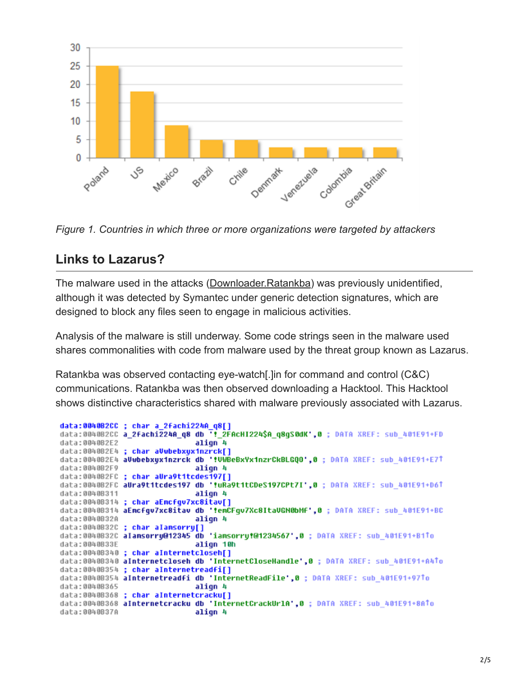

*Figure 1. Countries in which three or more organizations were targeted by attackers*

### **Links to Lazarus?**

The malware used in the attacks ([Downloader.Ratankba](https://www.symantec.com/security_response/writeup.jsp?docid=2017-020908-1134-99)) was previously unidentified, although it was detected by Symantec under generic detection signatures, which are designed to block any files seen to engage in malicious activities.

Analysis of the malware is still underway. Some code strings seen in the malware used shares commonalities with code from malware used by the threat group known as Lazarus.

Ratankba was observed contacting eye-watch[.]in for command and control (C&C) communications. Ratankba was then observed downloading a Hacktool. This Hacktool shows distinctive characteristics shared with malware previously associated with Lazarus.

```
data:0040B2CC ; char a 2fachi224A q8[]
data:0040B2CC a_2fachi224A_q8 db ':_2FAcHI224$A_q8gS0dK',0 ; DATA XREF: sub_401E91+FD
data:0040B2E2
                              align 4
data:0040B2E4 ; char aVubebxyx1nzrck[]
data:0040B2E4 aVwbebxyx1nzrck db '!VWBeBxYx1nzrCkBLGQO',0; DATA XREF: sub 401E91+E71
data:0040B2F9
                              align 4
data:0040B2FC ; char aUra9t1tcdes197[]
data:0040B2FC aUra9t1tcdes197 db '!uRa9t1tCDeS197CPt7I',0 ; DATA XREF: sub_401E91+D61
data:0040B311
                              align 4
data:0040B314 ; char aEncfgv7xc8itav[]
data:0040B314 aEncfqv7xc8itav db '!emCFqv7Xc8ItaVGN0bMf',0 ; DATA XREF: sub 401E91+BC
data:0040B32A
                              align 4
data:0040B32C ; char alansorry[]
data:0040B32C alamsorru@12345 db 'iamsorru!@1234567',0 ; DATA XREF: sub 401E91+B1To
data:0040B33E
                              align 10h
data:0040B340 ; char aInternetcloseh[]
data:0040B340 aInternetcloseh db 'InternetCloseHandle',0 ; DATA XREF: sub_401E91+A4To
data:0040B354 ; char aInternetreadfi[]
data:0040B354 aInternetreadfi db 'InternetReadFile',0; DATA XREF: sub 401E91+97To
data:0040B365
                              align 4
data:0040B368 ; char aInternetcracku[]
data:0040B368 aInternetcracku db 'InternetCrackUrlA',0 ; DATA XREF: sub_401E91+8ATo
data:0040B37A
                              align 4
```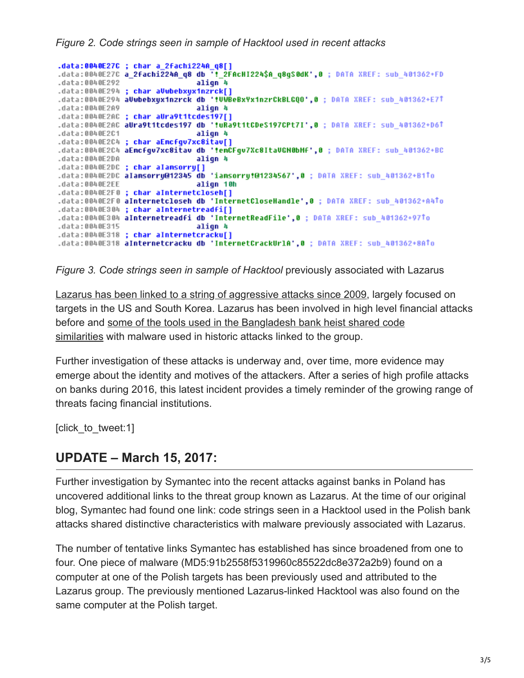*Figure 2. Code strings seen in sample of Hacktool used in recent attacks*

```
.data:0040E27C ; char a_2fachi224A_q8[]
.data:0040E27C a_2fachi224A_q8 db '!_2FAcHI224$A_q8gS0dK',0 ; DATA XREF: sub_401362+FD
.data:0040E292
                               align 4
.data:0040E294 ; char aVubebxyx1nzrck[]
.data:0040E294 aVwbebxyx1nzrck db '!VVBeBxYx1nzrCkBLGQO',0 ; DATA XREF: sub 401362+E7T
.data:0040E2A9
                               align 4
.data:0040E2AC ; char aUra9t1tcdes197[]
.data:0040E2AC aUra9t1tcdes197 db '!uRa9t1tCDeS197CPt7I',0 ; DATA XREF: sub_401362+D6<sup>↑</sup>
.4ata:0040E2C1alion 4
.data:0040E2C4 ; char aEncfgv7xc8itav[]
.data:0040E2C4 aEncfqv7xc8itav db 'tenCFqv7Xc8ItaVGH0bHf',0; DATA XREF: sub 401362+BC
.data:0040E2DA
                               align 4
.data:0040E2DC ; char alamsorry[]
.data:0040E2DC alamsorry@12345 db 'iamsorry!@1234567',0; DATA XREF: sub 401362+B1To
.data:0040E2EE
                               align 10h
.data:0040E2F0 ; char aInternetcloseh[]
.data:0040E2F0 aInternetcloseh db 'InternetCloseHandle',0; DATA XREF: sub_401362+A4To
.data:0040E304 ; char aInternetreadfi[]
.data:0040E304 aInternetreadfi db 'InternetReadFile',0 ; DATA XREF: sub 401362+971o
.data:0040E315
                               align 4
.data:0040E318 ; char aInternetcracku[]
.data:0040E318 aInternetcracku db 'InternetCrackUrlA',0 ; DATA XREF: sub_401362+8ATo
```
*Figure 3. Code strings seen in sample of Hacktool previously associated with Lazarus* 

[Lazarus has been linked to a string of aggressive attacks since 2009](https://community.broadcom.com/symantecenterprise/viewdocument?DocumentKey=4b12a028-2cba-415d-bad8-19228ed3a7a1&CommunityKey=1ecf5f55-9545-44d6-b0f4-4e4a7f5f5e68&tab=librarydocuments), largely focused on targets in the US and South Korea. Lazarus has been involved in high level financial attacks [before and some of the tools used in the Bangladesh bank heist shared code](https://community.broadcom.com/symantecenterprise/viewdocument?DocumentKey=8ae1ff71-e440-4b79-9943-199d0adb43fc&CommunityKey=1ecf5f55-9545-44d6-b0f4-4e4a7f5f5e68&tab=librarydocuments) similarities with malware used in historic attacks linked to the group.

Further investigation of these attacks is underway and, over time, more evidence may emerge about the identity and motives of the attackers. After a series of high profile attacks on banks during 2016, this latest incident provides a timely reminder of the growing range of threats facing financial institutions.

[click to tweet:1]

## **UPDATE – March 15, 2017:**

Further investigation by Symantec into the recent attacks against banks in Poland has uncovered additional links to the threat group known as Lazarus. At the time of our original blog, Symantec had found one link: code strings seen in a Hacktool used in the Polish bank attacks shared distinctive characteristics with malware previously associated with Lazarus.

The number of tentative links Symantec has established has since broadened from one to four. One piece of malware (MD5:91b2558f5319960c85522dc8e372a2b9) found on a computer at one of the Polish targets has been previously used and attributed to the Lazarus group. The previously mentioned Lazarus-linked Hacktool was also found on the same computer at the Polish target.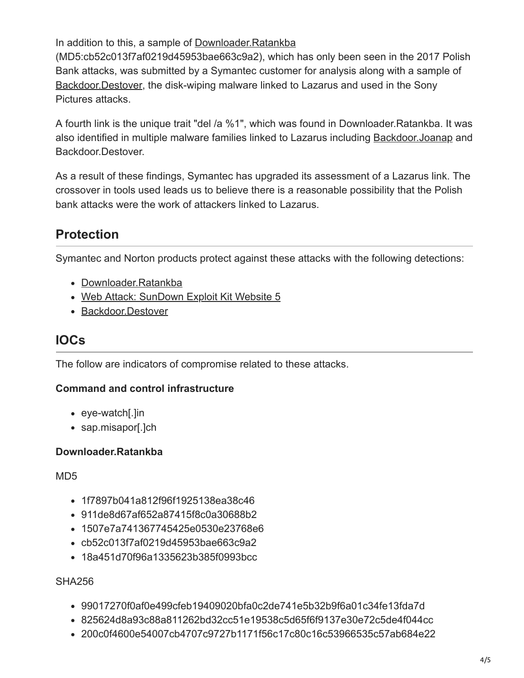In addition to this, a sample of [Downloader.Ratankba](https://www.symantec.com/security_response/writeup.jsp?docid=2017-020908-1134-99)

(MD5:cb52c013f7af0219d45953bae663c9a2), which has only been seen in the 2017 Polish Bank attacks, was submitted by a Symantec customer for analysis along with a sample of [Backdoor.Destover](https://www.symantec.com/security_response/writeup.jsp?docid=2014-120209-5631-99), the disk-wiping malware linked to Lazarus and used in the Sony Pictures attacks.

A fourth link is the unique trait "del /a %1", which was found in Downloader.Ratankba. It was also identified in multiple malware families linked to Lazarus including [Backdoor.Joanap](https://www.symantec.com/security_response/writeup.jsp?docid=2015-092507-0410-99) and Backdoor.Destover.

As a result of these findings, Symantec has upgraded its assessment of a Lazarus link. The crossover in tools used leads us to believe there is a reasonable possibility that the Polish bank attacks were the work of attackers linked to Lazarus.

# **Protection**

Symantec and Norton products protect against these attacks with the following detections:

- [Downloader.Ratankba](https://www.symantec.com/security_response/writeup.jsp?docid=2017-020908-1134-99)
- [Web Attack: SunDown Exploit Kit Website 5](https://www.symantec.com/security_response/attacksignatures/detail.jsp?asid=27510)
- [Backdoor.Destover](https://www.symantec.com/security_response/writeup.jsp?docid=2014-120209-5631-99)

### **IOCs**

The follow are indicators of compromise related to these attacks.

#### **Command and control infrastructure**

- eye-watch[.]in
- sap.misapor[.]ch

#### **Downloader.Ratankba**

MD5

- 1f7897b041a812f96f1925138ea38c46
- 911de8d67af652a87415f8c0a30688b2
- 1507e7a741367745425e0530e23768e6
- cb52c013f7af0219d45953bae663c9a2
- 18a451d70f96a1335623b385f0993bcc

#### SHA256

- 99017270f0af0e499cfeb19409020bfa0c2de741e5b32b9f6a01c34fe13fda7d
- 825624d8a93c88a811262bd32cc51e19538c5d65f6f9137e30e72c5de4f044cc
- 200c0f4600e54007cb4707c9727b1171f56c17c80c16c53966535c57ab684e22